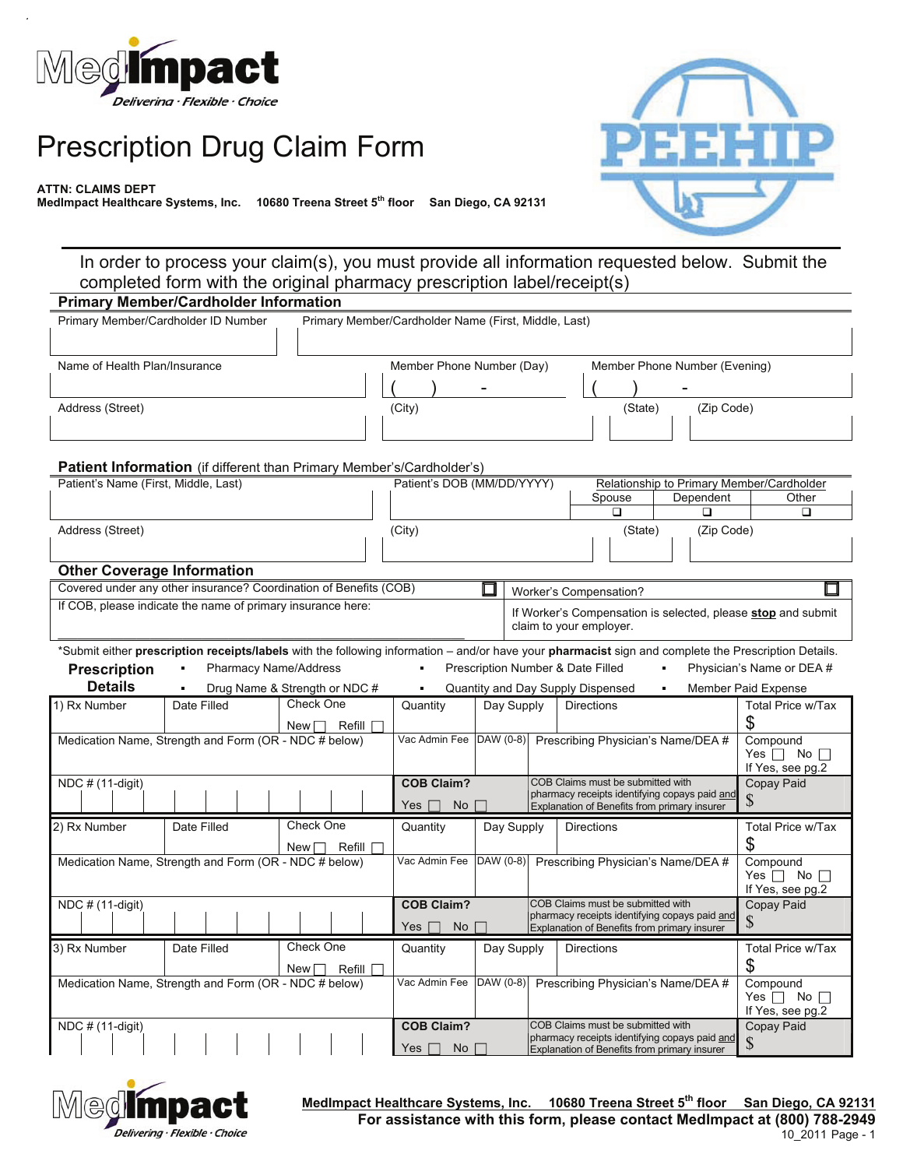

## Prescription Drug Claim Form

**ATTN: CLAIMS DEPT**

**MedImpact Healthcare Systems, Inc. 10680 Treena Street 5th floor San Diego, CA 92131**



In order to process your claim(s), you must provide all information requested below. Submit the completed form with the original pharmacy prescription label/receipt(s)

| <b>Primary Member/Cardholder Information</b>          |                                                                                                                                                                    |                               |                                                      |                                                                                         |                                   |                                                                                               |                |                                                    |
|-------------------------------------------------------|--------------------------------------------------------------------------------------------------------------------------------------------------------------------|-------------------------------|------------------------------------------------------|-----------------------------------------------------------------------------------------|-----------------------------------|-----------------------------------------------------------------------------------------------|----------------|----------------------------------------------------|
| Primary Member/Cardholder ID Number                   |                                                                                                                                                                    |                               | Primary Member/Cardholder Name (First, Middle, Last) |                                                                                         |                                   |                                                                                               |                |                                                    |
|                                                       |                                                                                                                                                                    |                               |                                                      |                                                                                         |                                   |                                                                                               |                |                                                    |
| Name of Health Plan/Insurance                         |                                                                                                                                                                    |                               | Member Phone Number (Day)                            |                                                                                         |                                   | Member Phone Number (Evening)                                                                 |                |                                                    |
|                                                       |                                                                                                                                                                    |                               |                                                      |                                                                                         |                                   |                                                                                               |                |                                                    |
| Address (Street)                                      |                                                                                                                                                                    |                               | (City)                                               |                                                                                         |                                   | (State)                                                                                       | (Zip Code)     |                                                    |
|                                                       |                                                                                                                                                                    |                               |                                                      |                                                                                         |                                   |                                                                                               |                |                                                    |
|                                                       |                                                                                                                                                                    |                               |                                                      |                                                                                         |                                   |                                                                                               |                |                                                    |
|                                                       | Patient Information (if different than Primary Member's/Cardholder's)                                                                                              |                               |                                                      |                                                                                         |                                   |                                                                                               |                |                                                    |
| Patient's Name (First, Middle, Last)                  |                                                                                                                                                                    |                               | Patient's DOB (MM/DD/YYYY)                           |                                                                                         |                                   |                                                                                               |                | Relationship to Primary Member/Cardholder<br>Other |
|                                                       |                                                                                                                                                                    |                               |                                                      |                                                                                         |                                   | Spouse<br>$\Box$                                                                              | Dependent<br>◻ | ◻                                                  |
| Address (Street)                                      |                                                                                                                                                                    |                               | (City)                                               |                                                                                         |                                   | (State)                                                                                       | (Zip Code)     |                                                    |
|                                                       |                                                                                                                                                                    |                               |                                                      |                                                                                         |                                   |                                                                                               |                |                                                    |
| <b>Other Coverage Information</b>                     |                                                                                                                                                                    |                               |                                                      |                                                                                         |                                   |                                                                                               |                |                                                    |
|                                                       | Covered under any other insurance? Coordination of Benefits (COB)                                                                                                  |                               |                                                      |                                                                                         |                                   | Worker's Compensation?                                                                        |                |                                                    |
|                                                       | If COB, please indicate the name of primary insurance here:                                                                                                        |                               |                                                      |                                                                                         |                                   |                                                                                               |                |                                                    |
|                                                       |                                                                                                                                                                    |                               |                                                      | If Worker's Compensation is selected, please stop and submit<br>claim to your employer. |                                   |                                                                                               |                |                                                    |
|                                                       | *Submit either <b>prescription receipts/labels</b> with the following information – and/or have your <b>pharmacist</b> sign and complete the Prescription Details. |                               |                                                      |                                                                                         |                                   |                                                                                               |                |                                                    |
| <b>Prescription</b>                                   | <b>Pharmacy Name/Address</b>                                                                                                                                       |                               |                                                      |                                                                                         | Prescription Number & Date Filled |                                                                                               |                | Physician's Name or DEA #                          |
| <b>Details</b>                                        |                                                                                                                                                                    | Drug Name & Strength or NDC # |                                                      |                                                                                         | Quantity and Day Supply Dispensed |                                                                                               |                | Member Paid Expense                                |
| 1) Rx Number                                          | Date Filled                                                                                                                                                        | Check One                     | Quantity                                             | Day Supply                                                                              |                                   | <b>Directions</b>                                                                             |                | Total Price w/Tax                                  |
|                                                       |                                                                                                                                                                    | Refill<br>New                 |                                                      |                                                                                         |                                   |                                                                                               |                | \$                                                 |
| Medication Name, Strength and Form (OR - NDC # below) |                                                                                                                                                                    |                               | Vac Admin Fee DAW (0-8)                              |                                                                                         |                                   | Prescribing Physician's Name/DEA #                                                            |                | Compound<br>Yes $\Box$ No $\Box$                   |
|                                                       |                                                                                                                                                                    |                               |                                                      |                                                                                         |                                   |                                                                                               |                | If Yes, see pg.2                                   |
| NDC # (11-digit)                                      |                                                                                                                                                                    |                               | <b>COB Claim?</b>                                    |                                                                                         |                                   | COB Claims must be submitted with<br>pharmacy receipts identifying copays paid and            |                | Copay Paid                                         |
|                                                       |                                                                                                                                                                    |                               | No<br>Yes ∏                                          |                                                                                         |                                   | Explanation of Benefits from primary insurer                                                  |                | $\mathcal{S}$                                      |
| 2) Rx Number                                          | Date Filled                                                                                                                                                        | Check One                     | Quantity                                             | Day Supply                                                                              |                                   | <b>Directions</b>                                                                             |                | <b>Total Price w/Tax</b>                           |
|                                                       |                                                                                                                                                                    | Refill<br>New l               |                                                      |                                                                                         |                                   |                                                                                               |                | \$                                                 |
|                                                       | Medication Name, Strength and Form (OR - NDC # below)                                                                                                              |                               | Vac Admin Fee                                        |                                                                                         |                                   | DAW (0-8) Prescribing Physician's Name/DEA #                                                  |                | Compound                                           |
|                                                       |                                                                                                                                                                    |                               |                                                      |                                                                                         |                                   |                                                                                               |                | Yes $\Box$ No $\Box$<br>If Yes, see pg.2           |
| NDC # (11-digit)                                      |                                                                                                                                                                    |                               | <b>COB Claim?</b>                                    |                                                                                         | COB Claims must be submitted with |                                                                                               | Copay Paid     |                                                    |
|                                                       |                                                                                                                                                                    |                               | Yes    <br>No                                        |                                                                                         |                                   | pharmacy receipts identifying copays paid and<br>Explanation of Benefits from primary insurer |                | \$                                                 |
| 3) Rx Number                                          | Date Filled                                                                                                                                                        | Check One                     | Quantity                                             | Day Supply                                                                              |                                   | <b>Directions</b>                                                                             |                | Total Price w/Tax                                  |
|                                                       |                                                                                                                                                                    | Refill<br>New <sub>1</sub>    |                                                      |                                                                                         |                                   |                                                                                               |                | \$                                                 |
| Medication Name, Strength and Form (OR - NDC # below) |                                                                                                                                                                    |                               | Vac Admin Fee                                        |                                                                                         |                                   | DAW (0-8) Prescribing Physician's Name/DEA #                                                  |                | Compound                                           |
|                                                       |                                                                                                                                                                    |                               |                                                      |                                                                                         |                                   |                                                                                               |                | Yes $\Box$ No $\Box$<br>If Yes, see pg.2           |
| NDC # (11-digit)                                      |                                                                                                                                                                    |                               | <b>COB Claim?</b>                                    |                                                                                         |                                   | COB Claims must be submitted with                                                             |                | Copay Paid                                         |
|                                                       |                                                                                                                                                                    |                               | Yes  <br>┓<br>No                                     |                                                                                         |                                   | pharmacy receipts identifying copays paid and<br>Explanation of Benefits from primary insurer |                | $\mathcal{S}$                                      |
|                                                       |                                                                                                                                                                    |                               |                                                      |                                                                                         |                                   |                                                                                               |                |                                                    |



**MedImpact Healthcare Systems, Inc. 10680 Treena Street 5th floor San Diego, CA 92131** 10\_2011 Page - 1 **For assistance with this form, please contact MedImpact at (800) 788-2949**